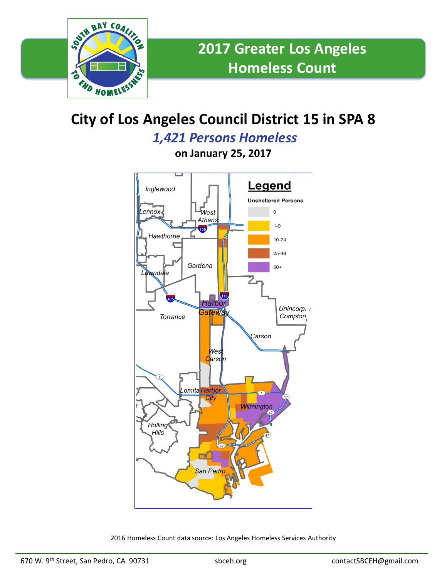

## **City of Los Angeles Council District 15 in SPA 8**

*1,421 Persons Homeless*

**on January 25, 2017**



2016 Homeless Count data source: Los Angeles Homeless Services Authority